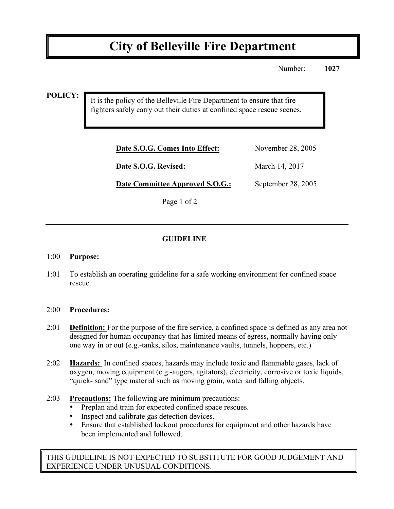# **City of Belleville Fire Department**

Number: **1027**

**POLICY:**

It is the policy of the Belleville Fire Department to ensure that fire fighters safely carry out their duties at confined space rescue scenes.

| Date S.O.G. Comes Into Effect: | November 28, 2005 |
|--------------------------------|-------------------|
| <b>Date S.O.G. Revised:</b>    | March 14, 2017    |

**Date Committee Approved S.O.G.:** September 28, 2005

Page 1 of 2

## **GUIDELINE**

#### 1:00 **Purpose:**

1:01 To establish an operating guideline for a safe working environment for confined space rescue.

### 2:00 **Procedures:**

- 2:01 **Definition:** For the purpose of the fire service, a confined space is defined as any area not designed for human occupancy that has limited means of egress, normally having only one way in or out (e.g.-tanks, silos, maintenance vaults, tunnels, hoppers, etc.)
- 2:02 **Hazards:** In confined spaces, hazards may include toxic and flammable gases, lack of oxygen, moving equipment (e.g.-augers, agitators), electricity, corrosive or toxic liquids, "quick- sand" type material such as moving grain, water and falling objects.
- 2:03 **Precautions:** The following are minimum precautions:
	- Preplan and train for expected confined space rescues.
	- Inspect and calibrate gas detection devices.
	- Ensure that established lockout procedures for equipment and other hazards have been implemented and followed.

THIS GUIDELINE IS NOT EXPECTED TO SUBSTITUTE FOR GOOD JUDGEMENT AND EXPERIENCE UNDER UNUSUAL CONDITIONS.